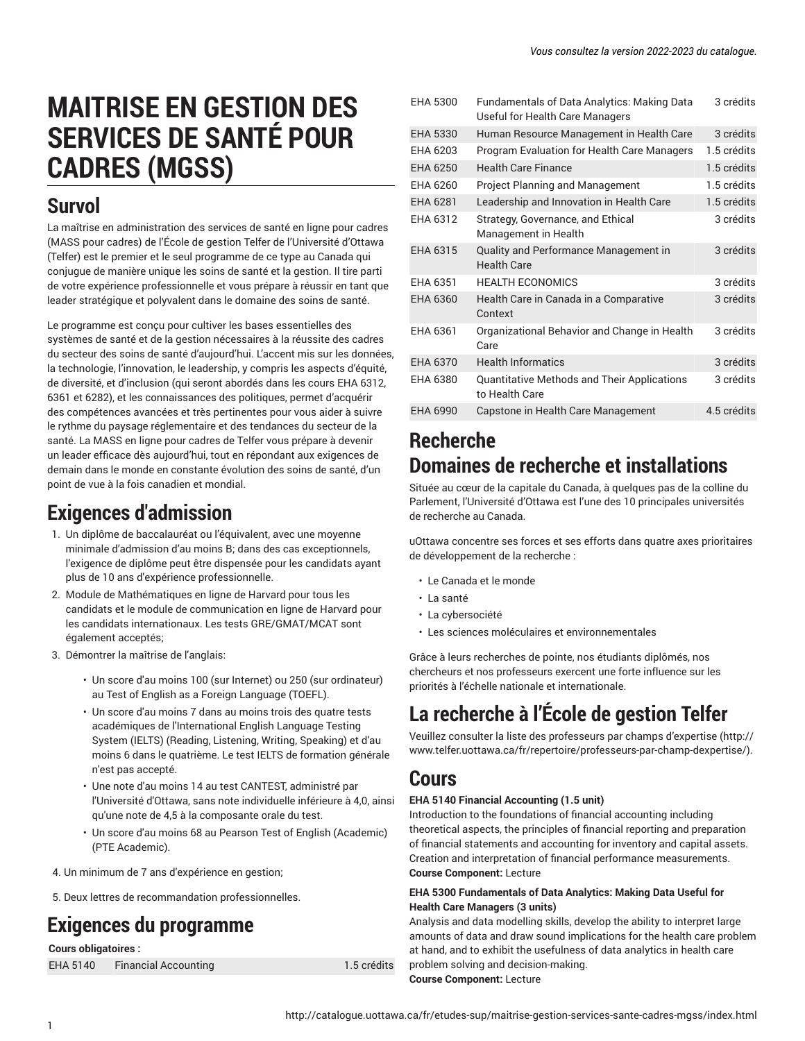3 crédits

# **MAITRISE EN GESTION DES SERVICES DE SANTÉ POUR CADRES (MGSS)**

# **Survol**

La maîtrise en administration des services de santé en ligne pour cadres (MASS pour cadres) de l'École de gestion Telfer de l'Université d'Ottawa (Telfer) est le premier et le seul programme de ce type au Canada qui conjugue de manière unique les soins de santé et la gestion. Il tire parti de votre expérience professionnelle et vous prépare à réussir en tant que leader stratégique et polyvalent dans le domaine des soins de santé.

Le programme est conçu pour cultiver les bases essentielles des systèmes de santé et de la gestion nécessaires à la réussite des cadres du secteur des soins de santé d'aujourd'hui. L'accent mis sur les données, la technologie, l'innovation, le leadership, y compris les aspects d'équité, de diversité, et d'inclusion (qui seront abordés dans les cours EHA 6312, 6361 et 6282), et les connaissances des politiques, permet d'acquérir des compétences avancées et très pertinentes pour vous aider à suivre le rythme du paysage réglementaire et des tendances du secteur de la santé. La MASS en ligne pour cadres de Telfer vous prépare à devenir un leader efficace dès aujourd'hui, tout en répondant aux exigences de demain dans le monde en constante évolution des soins de santé, d'un point de vue à la fois canadien et mondial.

# **Exigences d'admission**

- 1. Un diplôme de baccalauréat ou l'équivalent, avec une moyenne minimale d'admission d'au moins B; dans des cas exceptionnels, l'exigence de diplôme peut être dispensée pour les candidats ayant plus de 10 ans d'expérience professionnelle.
- 2. Module de Mathématiques en ligne de Harvard pour tous les candidats et le module de communication en ligne de Harvard pour les candidats internationaux. Les tests GRE/GMAT/MCAT sont également acceptés;
- 3. Démontrer la maîtrise de l'anglais:
	- Un score d'au moins 100 (sur Internet) ou 250 (sur ordinateur) au Test of English as a Foreign Language (TOEFL).
	- Un score d'au moins 7 dans au moins trois des quatre tests académiques de l'International English Language Testing System (IELTS) (Reading, Listening, Writing, Speaking) et d'au moins 6 dans le quatrième. Le test IELTS de formation générale n'est pas accepté.
	- Une note d'au moins 14 au test CANTEST, administré par l'Université d'Ottawa, sans note individuelle inférieure à 4,0, ainsi qu'une note de 4,5 à la composante orale du test.
	- Un score d'au moins 68 au Pearson Test of English (Academic) (PTE Academic).

4. Un minimum de 7 ans d'expérience en gestion;

5. Deux lettres de recommandation professionnelles.

# **Exigences du programme**

**Cours obligatoires :**

EHA 5140 Financial Accounting 1.5 crédits

```
EHA 5300 Fundamentals of Data Analytics: Making Data
           Useful for Health Care Managers
EHA 5330 Human Resource Management in Health Care 3 crédits
EHA 6203 Program Evaluation for Health Care Managers 1.5 crédits
EHA 6250 Health Care Finance 1.5 crédits
EHA 6260 Project Planning and Management 1.5 crédits
EHA 6281 Leadership and Innovation in Health Care 1.5 crédits
EHA 6312 Strategy, Governance, and Ethical
           Management in Health
                                                   3 crédits
EHA 6315 Quality and Performance Management in
           Health Care
                                                   3 crédits
EHA 6351 HEALTH ECONOMICS 3 crédits
EHA 6360 Health Care in Canada in a Comparative
           Context
                                                   3 crédits
EHA 6361 Organizational Behavior and Change in Health
           Care
                                                   3 crédits
EHA 6370 Health Informatics 3 crédits
EHA 6380 Quantitative Methods and Their Applications
           to Health Care
                                                   3 crédits
EHA 6990 Capstone in Health Care Management 4.5 crédits
```
# **Recherche Domaines de recherche et installations**

Située au cœur de la capitale du Canada, à quelques pas de la colline du Parlement, l'Université d'Ottawa est l'une des 10 principales universités de recherche au Canada.

uOttawa concentre ses forces et ses efforts dans quatre axes prioritaires de développement de la recherche :

- Le Canada et le monde
- La santé
- La cybersociété
- Les sciences moléculaires et environnementales

Grâce à leurs recherches de pointe, nos étudiants diplômés, nos chercheurs et nos professeurs exercent une forte influence sur les priorités à l'échelle nationale et internationale.

# **La recherche à l'École de gestion Telfer**

Veuillez consulter la liste des [professeurs](http://www.telfer.uottawa.ca/fr/repertoire/professeurs-par-champ-dexpertise/) par champs d'expertise [\(http://](http://www.telfer.uottawa.ca/fr/repertoire/professeurs-par-champ-dexpertise/) [www.telfer.uottawa.ca/fr/repertoire/professeurs-par-champ-dexpertise/](http://www.telfer.uottawa.ca/fr/repertoire/professeurs-par-champ-dexpertise/)).

# **Cours**

# **EHA 5140 Financial Accounting (1.5 unit)**

Introduction to the foundations of financial accounting including theoretical aspects, the principles of financial reporting and preparation of financial statements and accounting for inventory and capital assets. Creation and interpretation of financial performance measurements. **Course Component:** Lecture

# **EHA 5300 Fundamentals of Data Analytics: Making Data Useful for Health Care Managers (3 units)**

Analysis and data modelling skills, develop the ability to interpret large amounts of data and draw sound implications for the health care problem at hand, and to exhibit the usefulness of data analytics in health care problem solving and decision-making. **Course Component:** Lecture